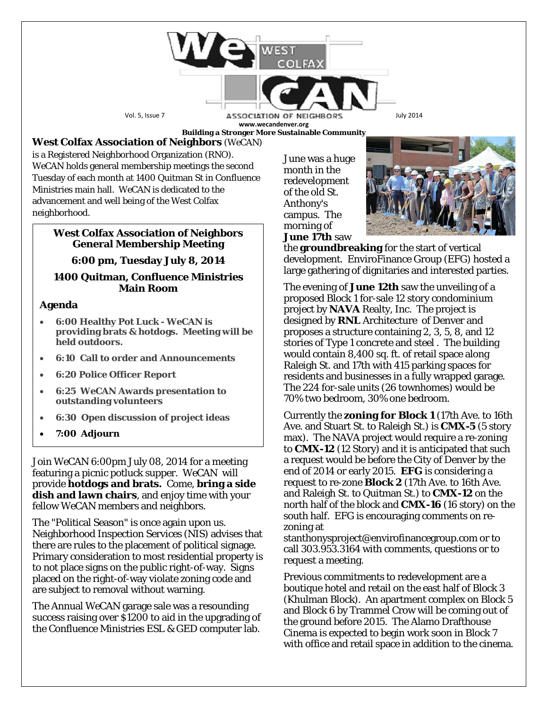

**Building a Stronger More Sustainable Community**

# **West Colfax Association of Neighbors** (*WeCAN*)

is a Registered Neighborhood Organization (RNO). *WeCAN* holds general membership meetings the second Tuesday of each month at 1400 Quitman St in Confluence Ministries main hall. *WeCAN* is dedicated to the advancement and well being of the West Colfax neighborhood.

### **West Colfax Association of Neighbors General Membership Meeting**

# **6:00 pm, Tuesday July 8, 2014**

### **1400 Quitman, Confluence Ministries Main Room**

# **Agenda**

- **6:00 Healthy Pot Luck - WeCAN is providing brats & hotdogs. Meeting will be held outdoors.**
- **6:10 Call to order and Announcements**
- **6:20 Police Officer Report**
- **6:25 WeCAN Awards presentation to outstanding volunteers**
- **6:30 Open discussion of project ideas**
- **7:00 Adjourn**

Join *WeCAN* 6:00pm July 08, 2014 for a meeting featuring a picnic potluck supper. *WeCAN* will provide **hotdogs and brats.** Come, **bring a side dish and lawn chairs**, and enjoy time with your fellow *WeCAN* members and neighbors.

The "Political Season" is once again upon us. Neighborhood Inspection Services (NIS) advises that there are rules to the placement of political signage. Primary consideration to most residential property is to not place signs on the public right-of-way. Signs placed on the right-of-way violate zoning code and are subject to removal without warning.

The Annual *WeCAN* garage sale was a resounding success raising over \$1200 to aid in the upgrading of the Confluence Ministries ESL & GED computer lab.

June was a huge month in the redevelopment of the old St. Anthony's campus. The morning of **June 17th** saw



the **groundbreaking** for the start of vertical development. EnviroFinance Group (EFG) hosted a large gathering of dignitaries and interested parties.

The evening of **June 12th** saw the unveiling of a proposed Block 1 for-sale 12 story condominium project by **NAVA** Realty, Inc. The project is designed by **RNL** Architecture of Denver and proposes a structure containing 2, 3, 5, 8, and 12 stories of Type 1 concrete and steel . The building would contain 8,400 sq. ft. of retail space along Raleigh St. and 17th with 415 parking spaces for residents and businesses in a fully wrapped garage. The 224 for-sale units (26 townhomes) would be 70% two bedroom, 30% one bedroom.

Currently the **zoning for Block 1** (17th Ave. to 16th Ave. and Stuart St. to Raleigh St.) is **CMX-5** (5 story max). The NAVA project would require a re-zoning to **CMX-12** (12 Story) and it is anticipated that such a request would be before the City of Denver by the end of 2014 or early 2015. **EFG** is considering a request to re-zone **Block 2** (17th Ave. to 16th Ave. and Raleigh St. to Quitman St.) to **CMX-12** on the north half of the block and **CMX-16** (16 story) on the south half. EFG is encouraging comments on rezoning at

stanthonysproject@envirofinancegroup.com or to call 303.953.3164 with comments, questions or to request a meeting.

Previous commitments to redevelopment are a boutique hotel and retail on the east half of Block 3 (Khulman Block). An apartment complex on Block 5 and Block 6 by Trammel Crow will be coming out of the ground before 2015. The Alamo Drafthouse Cinema is expected to begin work soon in Block 7 with office and retail space in addition to the cinema.